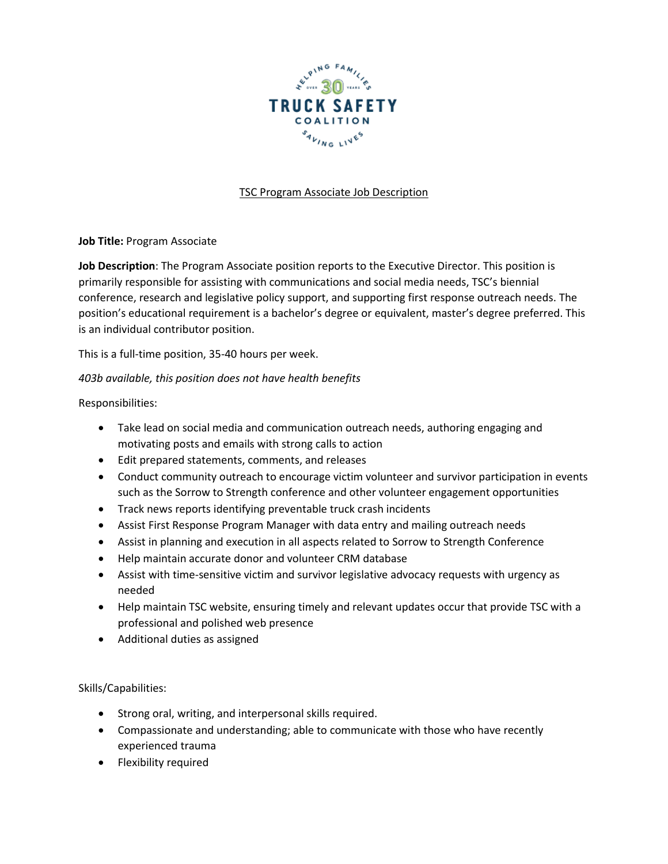

## TSC Program Associate Job Description

**Job Title:** Program Associate

**Job Description**: The Program Associate position reports to the Executive Director. This position is primarily responsible for assisting with communications and social media needs, TSC's biennial conference, research and legislative policy support, and supporting first response outreach needs. The position's educational requirement is a bachelor's degree or equivalent, master's degree preferred. This is an individual contributor position.

This is a full-time position, 35-40 hours per week.

*403b available, this position does not have health benefits*

Responsibilities:

- Take lead on social media and communication outreach needs, authoring engaging and motivating posts and emails with strong calls to action
- Edit prepared statements, comments, and releases
- Conduct community outreach to encourage victim volunteer and survivor participation in events such as the Sorrow to Strength conference and other volunteer engagement opportunities
- Track news reports identifying preventable truck crash incidents
- Assist First Response Program Manager with data entry and mailing outreach needs
- Assist in planning and execution in all aspects related to Sorrow to Strength Conference
- Help maintain accurate donor and volunteer CRM database
- Assist with time-sensitive victim and survivor legislative advocacy requests with urgency as needed
- Help maintain TSC website, ensuring timely and relevant updates occur that provide TSC with a professional and polished web presence
- Additional duties as assigned

Skills/Capabilities:

- Strong oral, writing, and interpersonal skills required.
- Compassionate and understanding; able to communicate with those who have recently experienced trauma
- Flexibility required